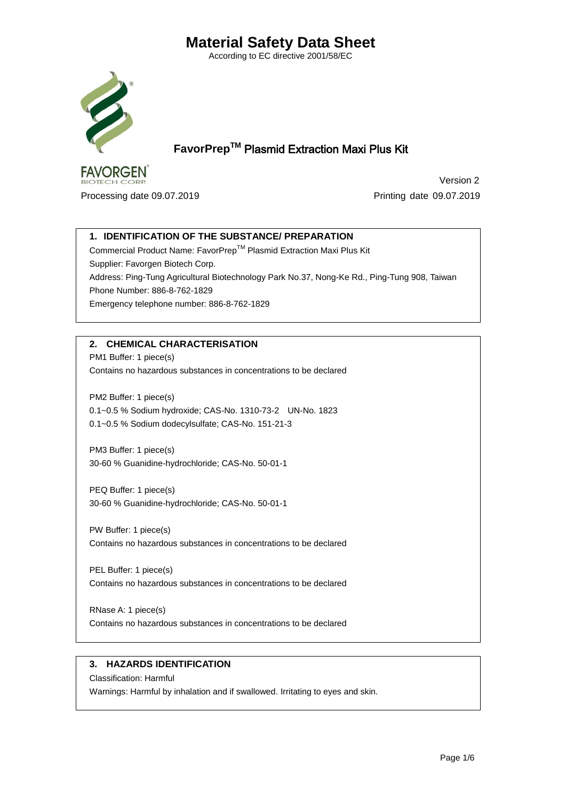According to EC directive 2001/58/EC



 **FavorPrepTM** Plasmid Extraction Maxi Plus Kit

**FAVORGEN BIOTECH CORP.** 

 Version 2 Processing date 09.07.2019 **Processing date 09.07.2019** 

# **1. IDENTIFICATION OF THE SUBSTANCE/ PREPARATION**

Commercial Product Name: FavorPrepTM Plasmid Extraction Maxi Plus Kit Supplier: Favorgen Biotech Corp. Address: Ping-Tung Agricultural Biotechnology Park No.37, Nong-Ke Rd., Ping-Tung 908, Taiwan Phone Number: 886-8-762-1829 Emergency telephone number: 886-8-762-1829

# **2. CHEMICAL CHARACTERISATION**

PM1 Buffer: 1 piece(s) Contains no hazardous substances in concentrations to be declared

PM2 Buffer: 1 piece(s) 0.1~0.5 % Sodium hydroxide; CAS-No. 1310-73-2 UN-No. 1823 0.1~0.5 % Sodium dodecylsulfate; CAS-No. 151-21-3

PM3 Buffer: 1 piece(s) 30-60 % Guanidine-hydrochloride; CAS-No. 50-01-1

PEQ Buffer: 1 piece(s) 30-60 % Guanidine-hydrochloride; CAS-No. 50-01-1

PW Buffer: 1 piece(s) Contains no hazardous substances in concentrations to be declared

PEL Buffer: 1 piece(s) Contains no hazardous substances in concentrations to be declared

RNase A: 1 piece(s) Contains no hazardous substances in concentrations to be declared

#### **3. HAZARDS IDENTIFICATION**

Classification: Harmful Warnings: Harmful by inhalation and if swallowed. Irritating to eyes and skin.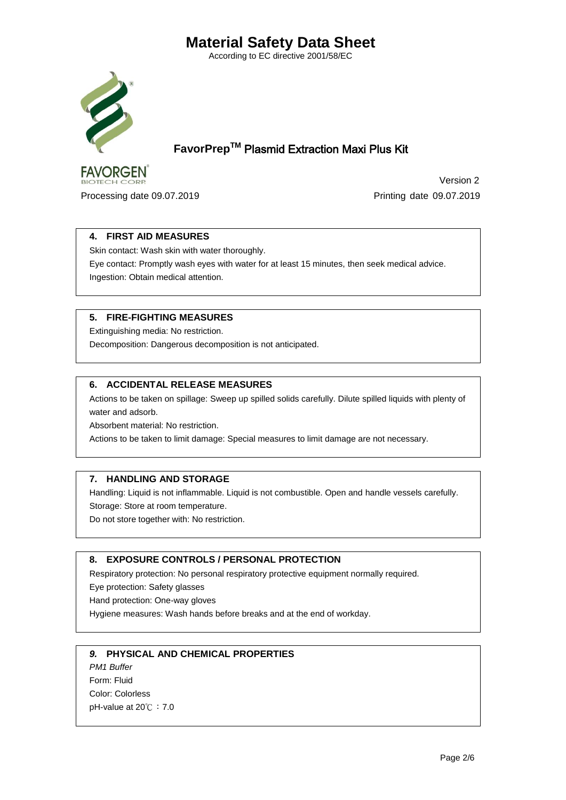According to EC directive 2001/58/EC



 **FavorPrepTM** Plasmid Extraction Maxi Plus Kit

**FAVORGEN BIOTECH CORP.** 

Processing date 09.07.2019 **Processing date 09.07.2019** 

Version 2

### **4. FIRST AID MEASURES**

Skin contact: Wash skin with water thoroughly.

Eye contact: Promptly wash eyes with water for at least 15 minutes, then seek medical advice. Ingestion: Obtain medical attention.

### **5. FIRE-FIGHTING MEASURES**

Extinguishing media: No restriction.

Decomposition: Dangerous decomposition is not anticipated.

### **6. ACCIDENTAL RELEASE MEASURES**

Actions to be taken on spillage: Sweep up spilled solids carefully. Dilute spilled liquids with plenty of water and adsorb.

Absorbent material: No restriction.

Actions to be taken to limit damage: Special measures to limit damage are not necessary.

### **7. HANDLING AND STORAGE**

Handling: Liquid is not inflammable. Liquid is not combustible. Open and handle vessels carefully. Storage: Store at room temperature.

Do not store together with: No restriction.

#### **8. EXPOSURE CONTROLS / PERSONAL PROTECTION**

Respiratory protection: No personal respiratory protective equipment normally required.

Eye protection: Safety glasses

Hand protection: One-way gloves

Hygiene measures: Wash hands before breaks and at the end of workday.

#### *9.* **PHYSICAL AND CHEMICAL PROPERTIES**

*PM1 Buffer*  Form: Fluid Color: Colorless pH-value at 20℃: 7.0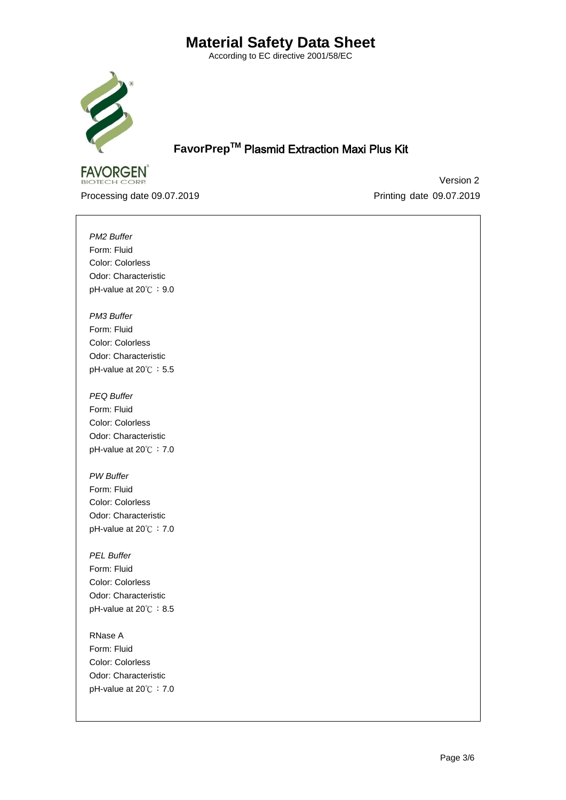According to EC directive 2001/58/EC



 **FavorPrepTM** Plasmid Extraction Maxi Plus Kit

**FAVORGEN BIOTECH CORP.** 

 Version 2 Processing date 09.07.2019 Printing date 09.07.2019

*PM2 Buffer*  Form: Fluid Color: Colorless Odor: Characteristic pH-value at 20℃: 9.0

*PM3 Buffer*  Form: Fluid Color: Colorless Odor: Characteristic pH-value at 20℃: 5.5

*PEQ Buffer*  Form: Fluid Color: Colorless Odor: Characteristic pH-value at 20℃: 7.0

*PW Buffer* Form: Fluid Color: Colorless Odor: Characteristic pH-value at 20℃:7.0

*PEL Buffer* Form: Fluid Color: Colorless Odor: Characteristic pH-value at 20℃: 8.5

RNase A Form: Fluid Color: Colorless Odor: Characteristic pH-value at 20℃:7.0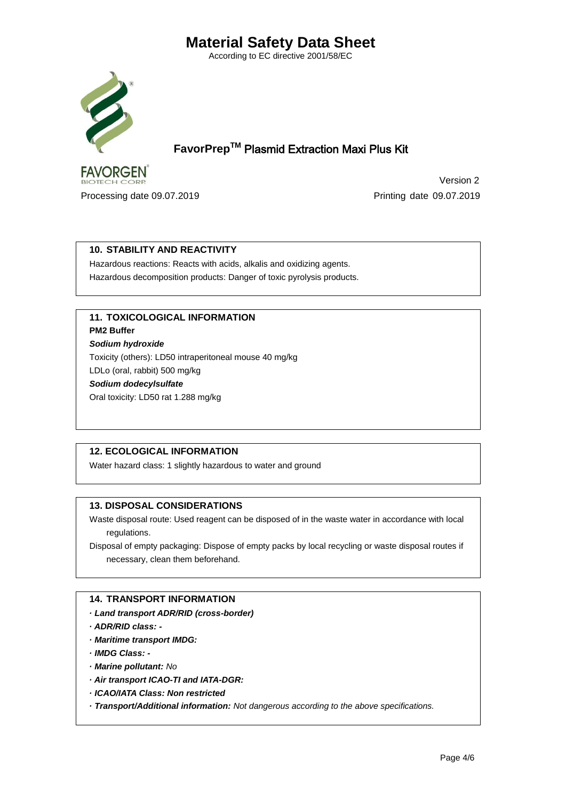According to EC directive 2001/58/EC



 **FavorPrepTM** Plasmid Extraction Maxi Plus Kit

**FAVORGEN BIOTECH CORP.** 

 Version 2 Processing date 09.07.2019 Printing date 09.07.2019

# **10. STABILITY AND REACTIVITY**

Hazardous reactions: Reacts with acids, alkalis and oxidizing agents. Hazardous decomposition products: Danger of toxic pyrolysis products.

# **11. TOXICOLOGICAL INFORMATION**

**PM2 Buffer** 

*Sodium hydroxide* Toxicity (others): LD50 intraperitoneal mouse 40 mg/kg LDLo (oral, rabbit) 500 mg/kg

*Sodium dodecylsulfate*

Oral toxicity: LD50 rat 1.288 mg/kg

# **12. ECOLOGICAL INFORMATION**

Water hazard class: 1 slightly hazardous to water and ground

# **13. DISPOSAL CONSIDERATIONS**

Waste disposal route: Used reagent can be disposed of in the waste water in accordance with local regulations.

Disposal of empty packaging: Dispose of empty packs by local recycling or waste disposal routes if necessary, clean them beforehand.

# **14. TRANSPORT INFORMATION**

- *· Land transport ADR/RID (cross-border)*
- *· ADR/RID class: -*
- *· Maritime transport IMDG:*
- *· IMDG Class: -*
- *· Marine pollutant: No*
- *· Air transport ICAO-TI and IATA-DGR:*
- *· ICAO/IATA Class: Non restricted*

*· Transport/Additional information: Not dangerous according to the above specifications.*